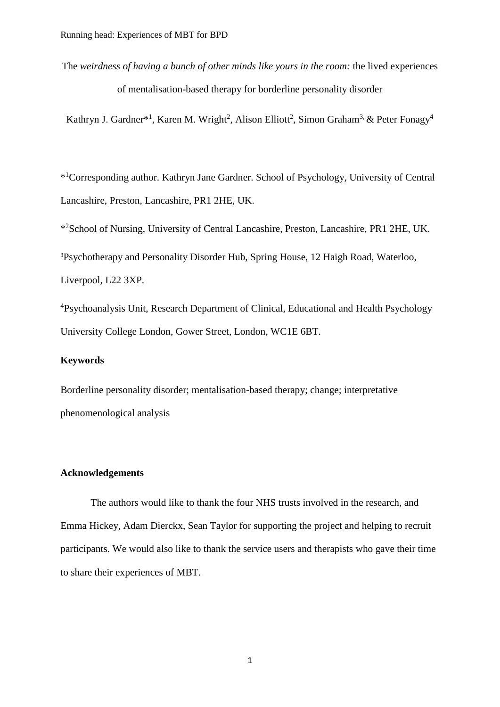The *weirdness of having a bunch of other minds like yours in the room:* the lived experiences of mentalisation-based therapy for borderline personality disorder

Kathryn J. Gardner\*<sup>1</sup>, Karen M. Wright<sup>2</sup>, Alison Elliott<sup>2</sup>, Simon Graham<sup>3,</sup> & Peter Fonagy<sup>4</sup>

\* <sup>1</sup>Corresponding author. Kathryn Jane Gardner. School of Psychology, University of Central Lancashire, Preston, Lancashire, PR1 2HE, UK.

\* <sup>2</sup>School of Nursing, University of Central Lancashire, Preston, Lancashire, PR1 2HE, UK.

<sup>3</sup>Psychotherapy and Personality Disorder Hub, Spring House, 12 Haigh Road, Waterloo, Liverpool, L22 3XP.

<sup>4</sup>Psychoanalysis Unit, Research Department of Clinical, Educational and Health Psychology University College London, Gower Street, London, WC1E 6BT.

### **Keywords**

Borderline personality disorder; mentalisation-based therapy; change; interpretative phenomenological analysis

### **Acknowledgements**

The authors would like to thank the four NHS trusts involved in the research, and Emma Hickey, Adam Dierckx, Sean Taylor for supporting the project and helping to recruit participants. We would also like to thank the service users and therapists who gave their time to share their experiences of MBT.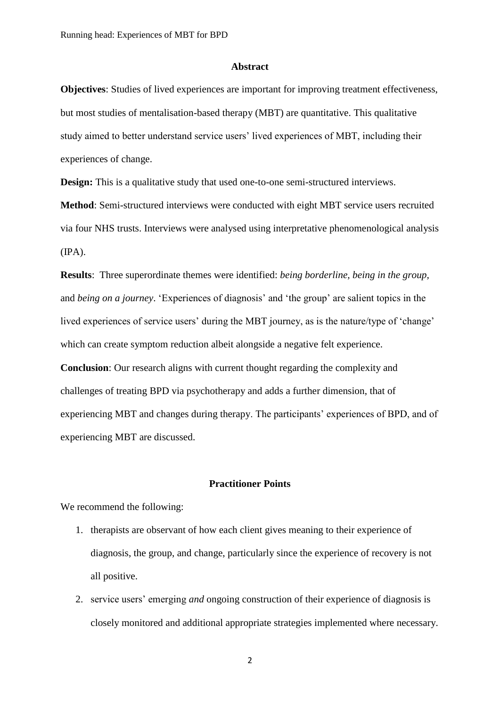### **Abstract**

**Objectives**: Studies of lived experiences are important for improving treatment effectiveness, but most studies of mentalisation-based therapy (MBT) are quantitative. This qualitative study aimed to better understand service users' lived experiences of MBT, including their experiences of change.

**Design:** This is a qualitative study that used one-to-one semi-structured interviews. **Method**: Semi-structured interviews were conducted with eight MBT service users recruited via four NHS trusts. Interviews were analysed using interpretative phenomenological analysis  $(IPA).$ 

**Results**: Three superordinate themes were identified: *being borderline, being in the group,* and *being on a journey*. 'Experiences of diagnosis' and 'the group' are salient topics in the lived experiences of service users' during the MBT journey, as is the nature/type of 'change' which can create symptom reduction albeit alongside a negative felt experience.

**Conclusion**: Our research aligns with current thought regarding the complexity and challenges of treating BPD via psychotherapy and adds a further dimension, that of experiencing MBT and changes during therapy. The participants' experiences of BPD, and of experiencing MBT are discussed.

### **Practitioner Points**

We recommend the following:

- 1. therapists are observant of how each client gives meaning to their experience of diagnosis, the group, and change, particularly since the experience of recovery is not all positive.
- 2. service users' emerging *and* ongoing construction of their experience of diagnosis is closely monitored and additional appropriate strategies implemented where necessary.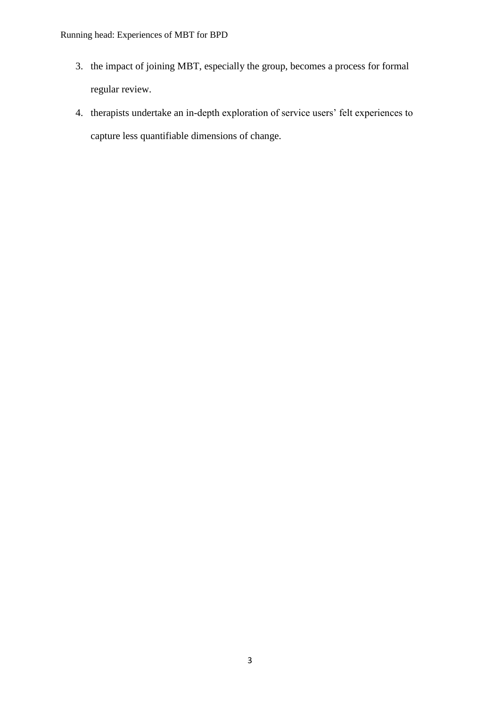- 3. the impact of joining MBT, especially the group, becomes a process for formal regular review.
- 4. therapists undertake an in-depth exploration of service users' felt experiences to capture less quantifiable dimensions of change.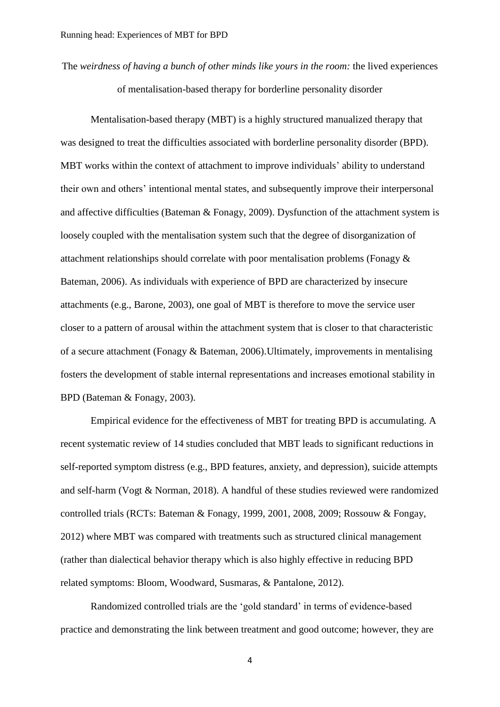The *weirdness of having a bunch of other minds like yours in the room:* the lived experiences of mentalisation-based therapy for borderline personality disorder

Mentalisation-based therapy (MBT) is a highly structured manualized therapy that was designed to treat the difficulties associated with borderline personality disorder (BPD). MBT works within the context of attachment to improve individuals' ability to understand their own and others' intentional mental states, and subsequently improve their interpersonal and affective difficulties (Bateman & Fonagy, 2009). Dysfunction of the attachment system is loosely coupled with the mentalisation system such that the degree of disorganization of attachment relationships should correlate with poor mentalisation problems (Fonagy & Bateman, 2006). As individuals with experience of BPD are characterized by insecure attachments (e.g., Barone, 2003), one goal of MBT is therefore to move the service user closer to a pattern of arousal within the attachment system that is closer to that characteristic of a secure attachment (Fonagy & Bateman, 2006).Ultimately, improvements in mentalising fosters the development of stable internal representations and increases emotional stability in BPD (Bateman & Fonagy, 2003).

Empirical evidence for the effectiveness of MBT for treating BPD is accumulating. A recent systematic review of 14 studies concluded that MBT leads to significant reductions in self-reported symptom distress (e.g., BPD features, anxiety, and depression), suicide attempts and self-harm (Vogt & Norman, 2018). A handful of these studies reviewed were randomized controlled trials (RCTs: Bateman & Fonagy, 1999, 2001, 2008, 2009; Rossouw & Fongay, 2012) where MBT was compared with treatments such as structured clinical management (rather than dialectical behavior therapy which is also highly effective in reducing BPD related symptoms: Bloom, Woodward, Susmaras, & Pantalone, 2012).

Randomized controlled trials are the 'gold standard' in terms of evidence-based practice and demonstrating the link between treatment and good outcome; however, they are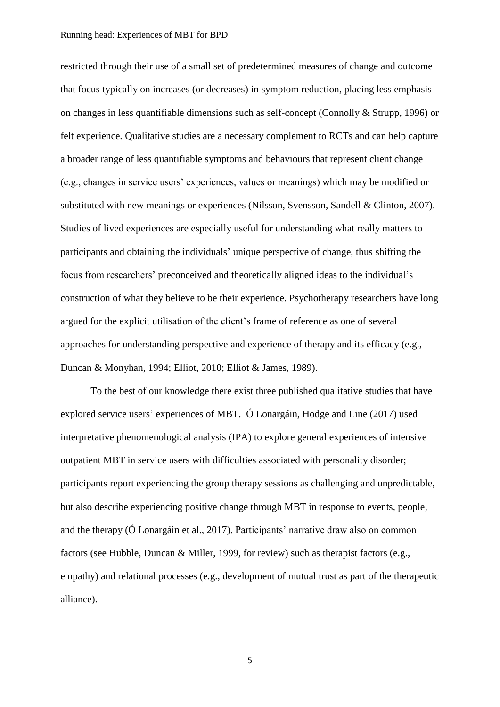### Running head: Experiences of MBT for BPD

restricted through their use of a small set of predetermined measures of change and outcome that focus typically on increases (or decreases) in symptom reduction, placing less emphasis on changes in less quantifiable dimensions such as self-concept (Connolly & Strupp, 1996) or felt experience. Qualitative studies are a necessary complement to RCTs and can help capture a broader range of less quantifiable symptoms and behaviours that represent client change (e.g., changes in service users' experiences, values or meanings) which may be modified or substituted with new meanings or experiences (Nilsson, Svensson, Sandell & Clinton, 2007). Studies of lived experiences are especially useful for understanding what really matters to participants and obtaining the individuals' unique perspective of change, thus shifting the focus from researchers' preconceived and theoretically aligned ideas to the individual's construction of what they believe to be their experience. Psychotherapy researchers have long argued for the explicit utilisation of the client's frame of reference as one of several approaches for understanding perspective and experience of therapy and its efficacy (e.g., Duncan & Monyhan, 1994; Elliot, 2010; Elliot & James, 1989).

To the best of our knowledge there exist three published qualitative studies that have explored service users' experiences of MBT. Ó Lonargáin, Hodge and Line (2017) used interpretative phenomenological analysis (IPA) to explore general experiences of intensive outpatient MBT in service users with difficulties associated with personality disorder; participants report experiencing the group therapy sessions as challenging and unpredictable, but also describe experiencing positive change through MBT in response to events, people, and the therapy (Ó Lonargáin et al., 2017). Participants' narrative draw also on common factors (see Hubble, Duncan & Miller, 1999, for review) such as therapist factors (e.g., empathy) and relational processes (e.g., development of mutual trust as part of the therapeutic alliance).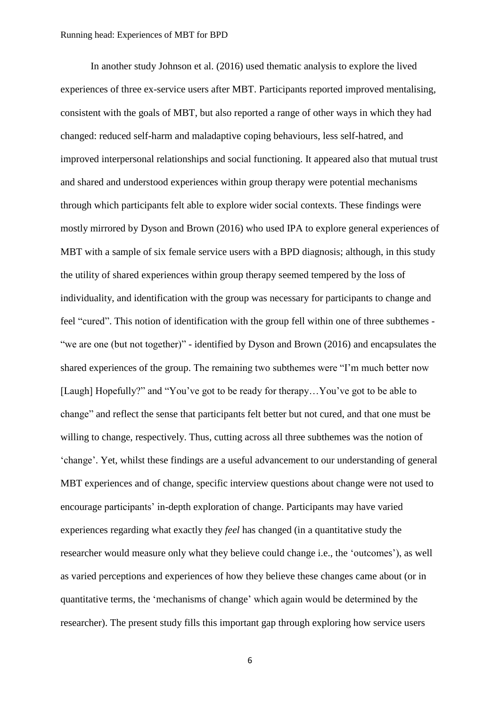In another study Johnson et al. (2016) used thematic analysis to explore the lived experiences of three ex-service users after MBT. Participants reported improved mentalising, consistent with the goals of MBT, but also reported a range of other ways in which they had changed: reduced self-harm and maladaptive coping behaviours, less self-hatred, and improved interpersonal relationships and social functioning. It appeared also that mutual trust and shared and understood experiences within group therapy were potential mechanisms through which participants felt able to explore wider social contexts. These findings were mostly mirrored by Dyson and Brown (2016) who used IPA to explore general experiences of MBT with a sample of six female service users with a BPD diagnosis; although, in this study the utility of shared experiences within group therapy seemed tempered by the loss of individuality, and identification with the group was necessary for participants to change and feel "cured". This notion of identification with the group fell within one of three subthemes - "we are one (but not together)" - identified by Dyson and Brown (2016) and encapsulates the shared experiences of the group. The remaining two subthemes were "I'm much better now [Laugh] Hopefully?" and "You've got to be ready for therapy...You've got to be able to change" and reflect the sense that participants felt better but not cured, and that one must be willing to change, respectively. Thus, cutting across all three subthemes was the notion of 'change'. Yet, whilst these findings are a useful advancement to our understanding of general MBT experiences and of change, specific interview questions about change were not used to encourage participants' in-depth exploration of change. Participants may have varied experiences regarding what exactly they *feel* has changed (in a quantitative study the researcher would measure only what they believe could change i.e., the 'outcomes'), as well as varied perceptions and experiences of how they believe these changes came about (or in quantitative terms, the 'mechanisms of change' which again would be determined by the researcher). The present study fills this important gap through exploring how service users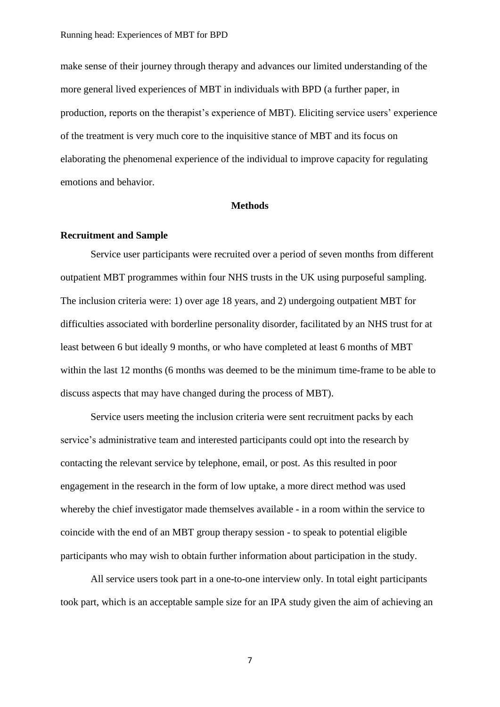make sense of their journey through therapy and advances our limited understanding of the more general lived experiences of MBT in individuals with BPD (a further paper, in production, reports on the therapist's experience of MBT). Eliciting service users' experience of the treatment is very much core to the inquisitive stance of MBT and its focus on elaborating the phenomenal experience of the individual to improve capacity for regulating emotions and behavior.

### **Methods**

### **Recruitment and Sample**

Service user participants were recruited over a period of seven months from different outpatient MBT programmes within four NHS trusts in the UK using purposeful sampling. The inclusion criteria were: 1) over age 18 years, and 2) undergoing outpatient MBT for difficulties associated with borderline personality disorder, facilitated by an NHS trust for at least between 6 but ideally 9 months, or who have completed at least 6 months of MBT within the last 12 months (6 months was deemed to be the minimum time-frame to be able to discuss aspects that may have changed during the process of MBT).

Service users meeting the inclusion criteria were sent recruitment packs by each service's administrative team and interested participants could opt into the research by contacting the relevant service by telephone, email, or post. As this resulted in poor engagement in the research in the form of low uptake, a more direct method was used whereby the chief investigator made themselves available - in a room within the service to coincide with the end of an MBT group therapy session - to speak to potential eligible participants who may wish to obtain further information about participation in the study.

All service users took part in a one-to-one interview only. In total eight participants took part, which is an acceptable sample size for an IPA study given the aim of achieving an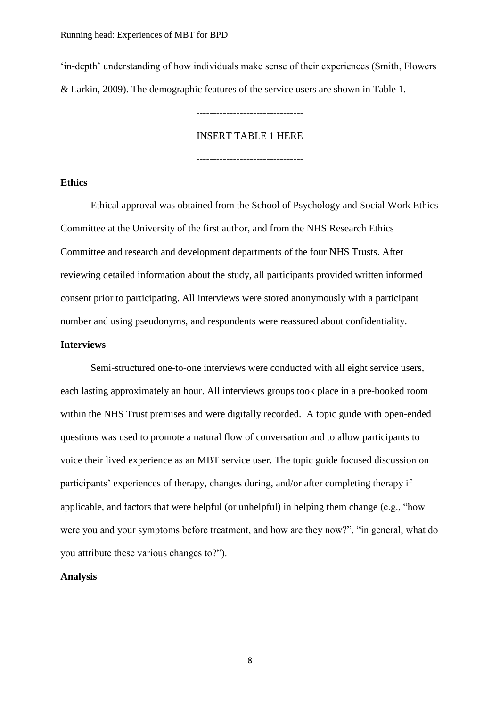'in-depth' understanding of how individuals make sense of their experiences (Smith, Flowers & Larkin, 2009). The demographic features of the service users are shown in Table 1.

### INSERT TABLE 1 HERE

--------------------------------

--------------------------------

### **Ethics**

Ethical approval was obtained from the School of Psychology and Social Work Ethics Committee at the University of the first author, and from the NHS Research Ethics Committee and research and development departments of the four NHS Trusts. After reviewing detailed information about the study, all participants provided written informed consent prior to participating. All interviews were stored anonymously with a participant number and using pseudonyms, and respondents were reassured about confidentiality.

### **Interviews**

Semi-structured one-to-one interviews were conducted with all eight service users, each lasting approximately an hour. All interviews groups took place in a pre-booked room within the NHS Trust premises and were digitally recorded. A topic guide with open-ended questions was used to promote a natural flow of conversation and to allow participants to voice their lived experience as an MBT service user. The topic guide focused discussion on participants' experiences of therapy, changes during, and/or after completing therapy if applicable, and factors that were helpful (or unhelpful) in helping them change (e.g., "how were you and your symptoms before treatment, and how are they now?", "in general, what do you attribute these various changes to?").

### **Analysis**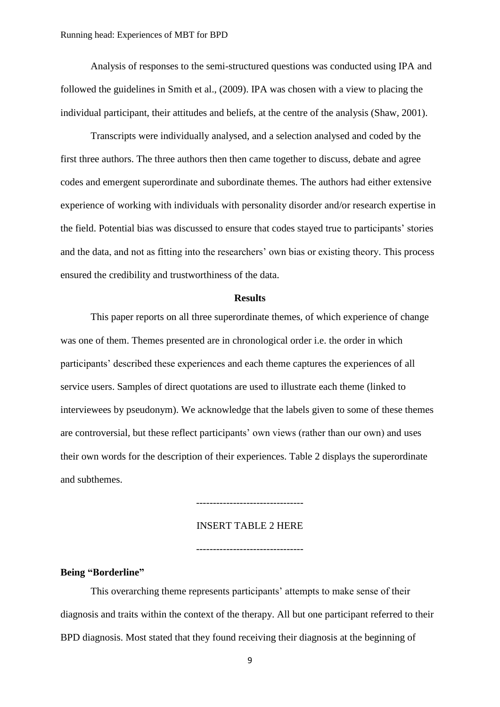Analysis of responses to the semi-structured questions was conducted using IPA and followed the guidelines in Smith et al., (2009). IPA was chosen with a view to placing the individual participant, their attitudes and beliefs, at the centre of the analysis (Shaw, 2001).

Transcripts were individually analysed, and a selection analysed and coded by the first three authors. The three authors then then came together to discuss, debate and agree codes and emergent superordinate and subordinate themes. The authors had either extensive experience of working with individuals with personality disorder and/or research expertise in the field. Potential bias was discussed to ensure that codes stayed true to participants' stories and the data, and not as fitting into the researchers' own bias or existing theory. This process ensured the credibility and trustworthiness of the data.

### **Results**

This paper reports on all three superordinate themes, of which experience of change was one of them. Themes presented are in chronological order i.e. the order in which participants' described these experiences and each theme captures the experiences of all service users. Samples of direct quotations are used to illustrate each theme (linked to interviewees by pseudonym). We acknowledge that the labels given to some of these themes are controversial, but these reflect participants' own views (rather than our own) and uses their own words for the description of their experiences. Table 2 displays the superordinate and subthemes.

#### INSERT TABLE 2 HERE

--------------------------------

--------------------------------

**Being "Borderline"**

This overarching theme represents participants' attempts to make sense of their diagnosis and traits within the context of the therapy. All but one participant referred to their BPD diagnosis. Most stated that they found receiving their diagnosis at the beginning of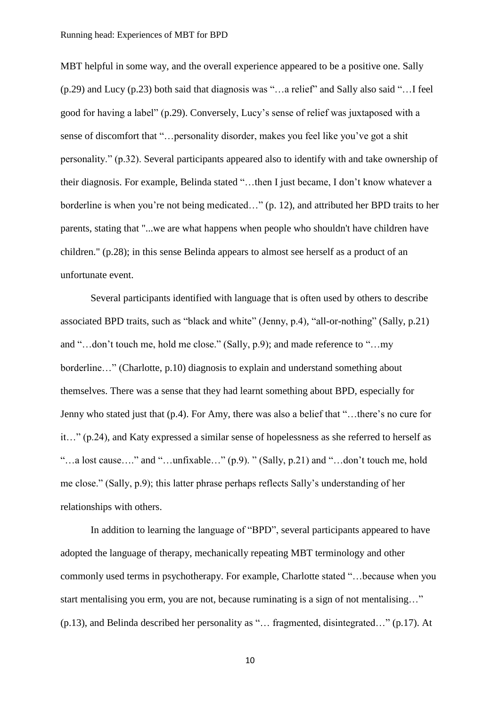MBT helpful in some way, and the overall experience appeared to be a positive one. Sally (p.29) and Lucy (p.23) both said that diagnosis was "…a relief" and Sally also said "…I feel good for having a label" (p.29). Conversely, Lucy's sense of relief was juxtaposed with a sense of discomfort that "…personality disorder, makes you feel like you've got a shit personality." (p.32). Several participants appeared also to identify with and take ownership of their diagnosis. For example, Belinda stated "…then I just became, I don't know whatever a borderline is when you're not being medicated…" (p. 12), and attributed her BPD traits to her parents, stating that "...we are what happens when people who shouldn't have children have children." (p.28); in this sense Belinda appears to almost see herself as a product of an unfortunate event.

Several participants identified with language that is often used by others to describe associated BPD traits, such as "black and white" (Jenny, p.4), "all-or-nothing" (Sally, p.21) and "…don't touch me, hold me close." (Sally, p.9); and made reference to "…my borderline…" (Charlotte, p.10) diagnosis to explain and understand something about themselves. There was a sense that they had learnt something about BPD, especially for Jenny who stated just that (p.4). For Amy, there was also a belief that "…there's no cure for it…" (p.24), and Katy expressed a similar sense of hopelessness as she referred to herself as "…a lost cause…." and "…unfixable…" (p.9). " (Sally, p.21) and "…don't touch me, hold me close." (Sally, p.9); this latter phrase perhaps reflects Sally's understanding of her relationships with others.

In addition to learning the language of "BPD", several participants appeared to have adopted the language of therapy, mechanically repeating MBT terminology and other commonly used terms in psychotherapy. For example, Charlotte stated "…because when you start mentalising you erm, you are not, because ruminating is a sign of not mentalising…" (p.13), and Belinda described her personality as "… fragmented, disintegrated…" (p.17). At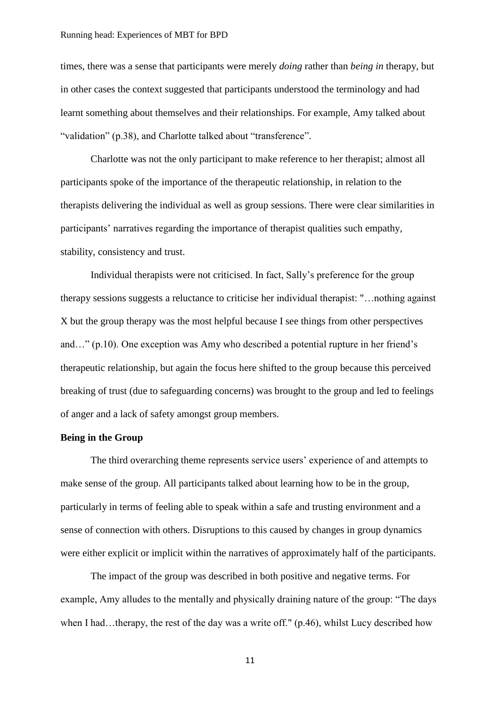### Running head: Experiences of MBT for BPD

times, there was a sense that participants were merely *doing* rather than *being in* therapy, but in other cases the context suggested that participants understood the terminology and had learnt something about themselves and their relationships. For example, Amy talked about "validation" (p.38), and Charlotte talked about "transference".

Charlotte was not the only participant to make reference to her therapist; almost all participants spoke of the importance of the therapeutic relationship, in relation to the therapists delivering the individual as well as group sessions. There were clear similarities in participants' narratives regarding the importance of therapist qualities such empathy, stability, consistency and trust.

Individual therapists were not criticised. In fact, Sally's preference for the group therapy sessions suggests a reluctance to criticise her individual therapist: "…nothing against X but the group therapy was the most helpful because I see things from other perspectives and…" (p.10). One exception was Amy who described a potential rupture in her friend's therapeutic relationship, but again the focus here shifted to the group because this perceived breaking of trust (due to safeguarding concerns) was brought to the group and led to feelings of anger and a lack of safety amongst group members.

### **Being in the Group**

The third overarching theme represents service users' experience of and attempts to make sense of the group. All participants talked about learning how to be in the group, particularly in terms of feeling able to speak within a safe and trusting environment and a sense of connection with others. Disruptions to this caused by changes in group dynamics were either explicit or implicit within the narratives of approximately half of the participants.

The impact of the group was described in both positive and negative terms. For example, Amy alludes to the mentally and physically draining nature of the group: "The days when I had…therapy, the rest of the day was a write off." (p.46), whilst Lucy described how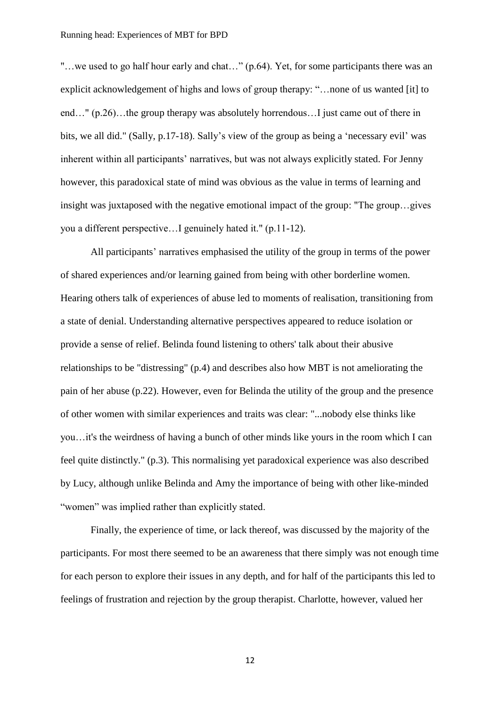"…we used to go half hour early and chat…" (p.64). Yet, for some participants there was an explicit acknowledgement of highs and lows of group therapy: "…none of us wanted [it] to end…" (p.26)…the group therapy was absolutely horrendous…I just came out of there in bits, we all did." (Sally, p.17-18). Sally's view of the group as being a 'necessary evil' was inherent within all participants' narratives, but was not always explicitly stated. For Jenny however, this paradoxical state of mind was obvious as the value in terms of learning and insight was juxtaposed with the negative emotional impact of the group: "The group…gives you a different perspective…I genuinely hated it." (p.11-12).

All participants' narratives emphasised the utility of the group in terms of the power of shared experiences and/or learning gained from being with other borderline women. Hearing others talk of experiences of abuse led to moments of realisation, transitioning from a state of denial. Understanding alternative perspectives appeared to reduce isolation or provide a sense of relief. Belinda found listening to others' talk about their abusive relationships to be "distressing" (p.4) and describes also how MBT is not ameliorating the pain of her abuse (p.22). However, even for Belinda the utility of the group and the presence of other women with similar experiences and traits was clear: "...nobody else thinks like you…it's the weirdness of having a bunch of other minds like yours in the room which I can feel quite distinctly." (p.3). This normalising yet paradoxical experience was also described by Lucy, although unlike Belinda and Amy the importance of being with other like-minded "women" was implied rather than explicitly stated.

Finally, the experience of time, or lack thereof, was discussed by the majority of the participants. For most there seemed to be an awareness that there simply was not enough time for each person to explore their issues in any depth, and for half of the participants this led to feelings of frustration and rejection by the group therapist. Charlotte, however, valued her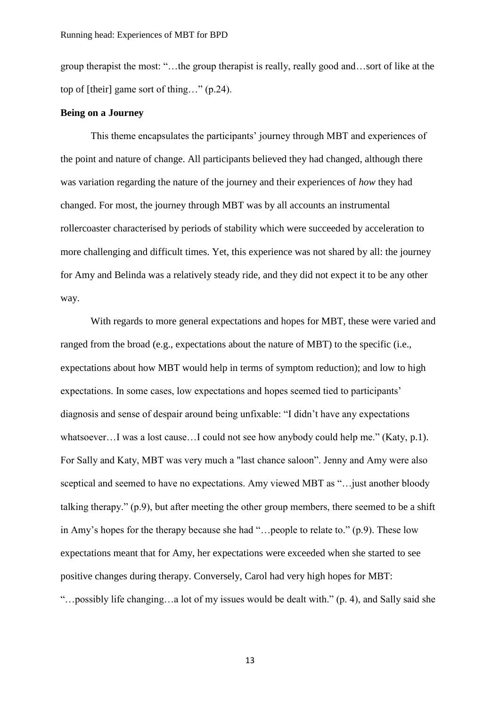group therapist the most: "…the group therapist is really, really good and…sort of like at the top of [their] game sort of thing…" (p.24).

### **Being on a Journey**

This theme encapsulates the participants' journey through MBT and experiences of the point and nature of change. All participants believed they had changed, although there was variation regarding the nature of the journey and their experiences of *how* they had changed. For most, the journey through MBT was by all accounts an instrumental rollercoaster characterised by periods of stability which were succeeded by acceleration to more challenging and difficult times. Yet, this experience was not shared by all: the journey for Amy and Belinda was a relatively steady ride, and they did not expect it to be any other way.

With regards to more general expectations and hopes for MBT, these were varied and ranged from the broad (e.g., expectations about the nature of MBT) to the specific (i.e., expectations about how MBT would help in terms of symptom reduction); and low to high expectations. In some cases, low expectations and hopes seemed tied to participants' diagnosis and sense of despair around being unfixable: "I didn't have any expectations whatsoever…I was a lost cause…I could not see how anybody could help me." (Katy, p.1). For Sally and Katy, MBT was very much a "last chance saloon". Jenny and Amy were also sceptical and seemed to have no expectations. Amy viewed MBT as "…just another bloody talking therapy." (p.9), but after meeting the other group members, there seemed to be a shift in Amy's hopes for the therapy because she had "…people to relate to." (p.9). These low expectations meant that for Amy, her expectations were exceeded when she started to see positive changes during therapy. Conversely, Carol had very high hopes for MBT: "…possibly life changing…a lot of my issues would be dealt with." (p. 4), and Sally said she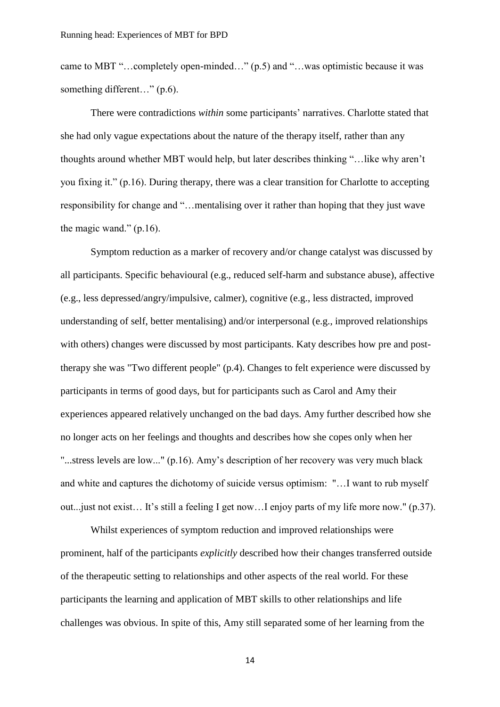came to MBT "…completely open-minded…" (p.5) and "…was optimistic because it was something different..." (p.6).

There were contradictions *within* some participants' narratives. Charlotte stated that she had only vague expectations about the nature of the therapy itself, rather than any thoughts around whether MBT would help, but later describes thinking "…like why aren't you fixing it." (p.16). During therapy, there was a clear transition for Charlotte to accepting responsibility for change and "…mentalising over it rather than hoping that they just wave the magic wand."  $(p.16)$ .

Symptom reduction as a marker of recovery and/or change catalyst was discussed by all participants. Specific behavioural (e.g., reduced self-harm and substance abuse), affective (e.g., less depressed/angry/impulsive, calmer), cognitive (e.g., less distracted, improved understanding of self, better mentalising) and/or interpersonal (e.g., improved relationships with others) changes were discussed by most participants. Katy describes how pre and posttherapy she was "Two different people" (p.4). Changes to felt experience were discussed by participants in terms of good days, but for participants such as Carol and Amy their experiences appeared relatively unchanged on the bad days. Amy further described how she no longer acts on her feelings and thoughts and describes how she copes only when her "...stress levels are low..." (p.16). Amy's description of her recovery was very much black and white and captures the dichotomy of suicide versus optimism: "…I want to rub myself out...just not exist… It's still a feeling I get now…I enjoy parts of my life more now." (p.37).

Whilst experiences of symptom reduction and improved relationships were prominent, half of the participants *explicitly* described how their changes transferred outside of the therapeutic setting to relationships and other aspects of the real world. For these participants the learning and application of MBT skills to other relationships and life challenges was obvious. In spite of this, Amy still separated some of her learning from the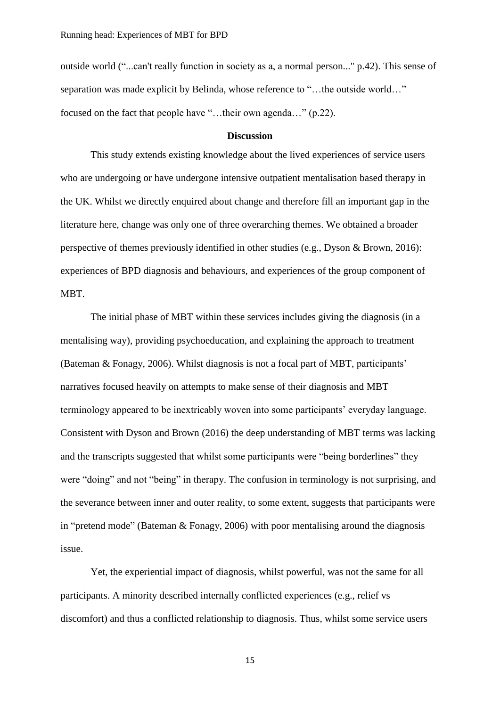outside world ("...can't really function in society as a, a normal person..." p.42). This sense of separation was made explicit by Belinda, whose reference to "…the outside world…" focused on the fact that people have "…their own agenda…" (p.22).

### **Discussion**

This study extends existing knowledge about the lived experiences of service users who are undergoing or have undergone intensive outpatient mentalisation based therapy in the UK. Whilst we directly enquired about change and therefore fill an important gap in the literature here, change was only one of three overarching themes. We obtained a broader perspective of themes previously identified in other studies (e.g., Dyson & Brown, 2016): experiences of BPD diagnosis and behaviours, and experiences of the group component of MBT.

The initial phase of MBT within these services includes giving the diagnosis (in a mentalising way), providing psychoeducation, and explaining the approach to treatment (Bateman & Fonagy, 2006). Whilst diagnosis is not a focal part of MBT, participants' narratives focused heavily on attempts to make sense of their diagnosis and MBT terminology appeared to be inextricably woven into some participants' everyday language. Consistent with Dyson and Brown (2016) the deep understanding of MBT terms was lacking and the transcripts suggested that whilst some participants were "being borderlines" they were "doing" and not "being" in therapy. The confusion in terminology is not surprising, and the severance between inner and outer reality, to some extent, suggests that participants were in "pretend mode" (Bateman & Fonagy, 2006) with poor mentalising around the diagnosis issue.

Yet, the experiential impact of diagnosis, whilst powerful, was not the same for all participants. A minority described internally conflicted experiences (e.g., relief vs discomfort) and thus a conflicted relationship to diagnosis. Thus, whilst some service users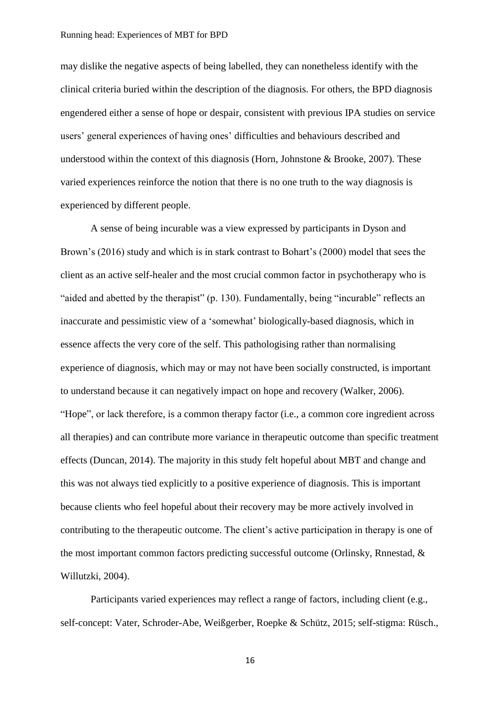may dislike the negative aspects of being labelled, they can nonetheless identify with the clinical criteria buried within the description of the diagnosis. For others, the BPD diagnosis engendered either a sense of hope or despair, consistent with previous IPA studies on service users' general experiences of having ones' difficulties and behaviours described and understood within the context of this diagnosis (Horn, Johnstone & Brooke, 2007). These varied experiences reinforce the notion that there is no one truth to the way diagnosis is experienced by different people.

A sense of being incurable was a view expressed by participants in Dyson and Brown's (2016) study and which is in stark contrast to Bohart's (2000) model that sees the client as an active self-healer and the most crucial common factor in psychotherapy who is "aided and abetted by the therapist" (p. 130). Fundamentally, being "incurable" reflects an inaccurate and pessimistic view of a 'somewhat' biologically-based diagnosis, which in essence affects the very core of the self. This pathologising rather than normalising experience of diagnosis, which may or may not have been socially constructed, is important to understand because it can negatively impact on hope and recovery (Walker, 2006). "Hope", or lack therefore, is a common therapy factor (i.e., a common core ingredient across all therapies) and can contribute more variance in therapeutic outcome than specific treatment effects (Duncan, 2014). The majority in this study felt hopeful about MBT and change and this was not always tied explicitly to a positive experience of diagnosis. This is important because clients who feel hopeful about their recovery may be more actively involved in contributing to the therapeutic outcome. The client's active participation in therapy is one of the most important common factors predicting successful outcome (Orlinsky, Rnnestad, & Willutzki, 2004).

Participants varied experiences may reflect a range of factors, including client (e.g., self-concept: Vater, Schroder-Abe, Weißgerber, Roepke & Schütz, 2015; self-stigma: Rüsch.,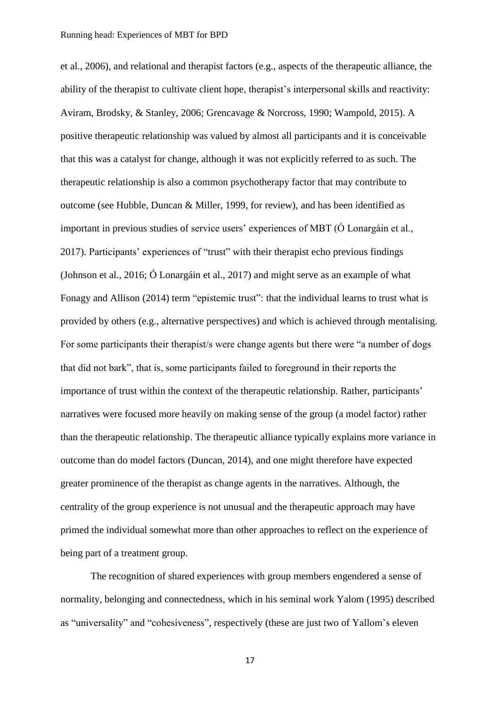et al., 2006), and relational and therapist factors (e.g., aspects of the therapeutic alliance, the ability of the therapist to cultivate client hope, therapist's interpersonal skills and reactivity: Aviram, Brodsky, & Stanley, 2006; Grencavage & Norcross, 1990; Wampold, 2015). A positive therapeutic relationship was valued by almost all participants and it is conceivable that this was a catalyst for change, although it was not explicitly referred to as such. The therapeutic relationship is also a common psychotherapy factor that may contribute to outcome (see Hubble, Duncan & Miller, 1999, for review), and has been identified as important in previous studies of service users' experiences of MBT (Ó Lonargáin et al., 2017). Participants' experiences of "trust" with their therapist echo previous findings (Johnson et al., 2016; Ó Lonargáin et al., 2017) and might serve as an example of what Fonagy and Allison (2014) term "epistemic trust": that the individual learns to trust what is provided by others (e.g., alternative perspectives) and which is achieved through mentalising. For some participants their therapist/s were change agents but there were "a number of dogs that did not bark", that is, some participants failed to foreground in their reports the importance of trust within the context of the therapeutic relationship. Rather, participants' narratives were focused more heavily on making sense of the group (a model factor) rather than the therapeutic relationship. The therapeutic alliance typically explains more variance in outcome than do model factors (Duncan, 2014), and one might therefore have expected greater prominence of the therapist as change agents in the narratives. Although, the centrality of the group experience is not unusual and the therapeutic approach may have primed the individual somewhat more than other approaches to reflect on the experience of being part of a treatment group.

The recognition of shared experiences with group members engendered a sense of normality, belonging and connectedness, which in his seminal work Yalom (1995) described as "universality" and "cohesiveness", respectively (these are just two of Yallom's eleven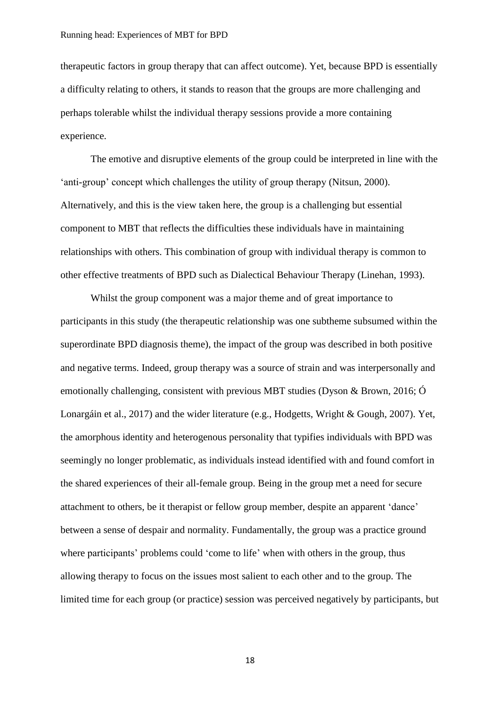therapeutic factors in group therapy that can affect outcome). Yet, because BPD is essentially a difficulty relating to others, it stands to reason that the groups are more challenging and perhaps tolerable whilst the individual therapy sessions provide a more containing experience.

The emotive and disruptive elements of the group could be interpreted in line with the 'anti-group' concept which challenges the utility of group therapy (Nitsun, 2000). Alternatively, and this is the view taken here, the group is a challenging but essential component to MBT that reflects the difficulties these individuals have in maintaining relationships with others. This combination of group with individual therapy is common to other effective treatments of BPD such as Dialectical Behaviour Therapy (Linehan, 1993).

Whilst the group component was a major theme and of great importance to participants in this study (the therapeutic relationship was one subtheme subsumed within the superordinate BPD diagnosis theme), the impact of the group was described in both positive and negative terms. Indeed, group therapy was a source of strain and was interpersonally and emotionally challenging, consistent with previous MBT studies (Dyson & Brown, 2016; Ó Lonargáin et al., 2017) and the wider literature (e.g., Hodgetts, Wright & Gough, 2007). Yet, the amorphous identity and heterogenous personality that typifies individuals with BPD was seemingly no longer problematic, as individuals instead identified with and found comfort in the shared experiences of their all-female group. Being in the group met a need for secure attachment to others, be it therapist or fellow group member, despite an apparent 'dance' between a sense of despair and normality. Fundamentally, the group was a practice ground where participants' problems could 'come to life' when with others in the group, thus allowing therapy to focus on the issues most salient to each other and to the group. The limited time for each group (or practice) session was perceived negatively by participants, but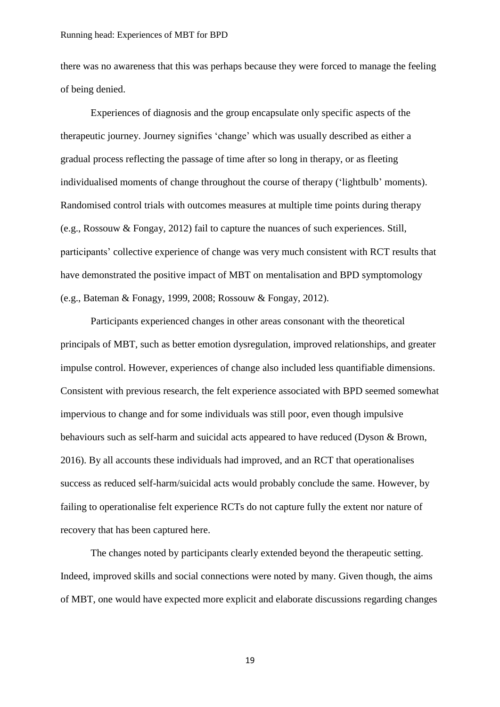there was no awareness that this was perhaps because they were forced to manage the feeling of being denied.

Experiences of diagnosis and the group encapsulate only specific aspects of the therapeutic journey. Journey signifies 'change' which was usually described as either a gradual process reflecting the passage of time after so long in therapy, or as fleeting individualised moments of change throughout the course of therapy ('lightbulb' moments). Randomised control trials with outcomes measures at multiple time points during therapy (e.g., Rossouw & Fongay, 2012) fail to capture the nuances of such experiences. Still, participants' collective experience of change was very much consistent with RCT results that have demonstrated the positive impact of MBT on mentalisation and BPD symptomology (e.g., Bateman & Fonagy, 1999, 2008; Rossouw & Fongay, 2012).

Participants experienced changes in other areas consonant with the theoretical principals of MBT, such as better emotion dysregulation, improved relationships, and greater impulse control. However, experiences of change also included less quantifiable dimensions. Consistent with previous research, the felt experience associated with BPD seemed somewhat impervious to change and for some individuals was still poor, even though impulsive behaviours such as self-harm and suicidal acts appeared to have reduced (Dyson & Brown, 2016). By all accounts these individuals had improved, and an RCT that operationalises success as reduced self-harm/suicidal acts would probably conclude the same. However, by failing to operationalise felt experience RCTs do not capture fully the extent nor nature of recovery that has been captured here.

The changes noted by participants clearly extended beyond the therapeutic setting. Indeed, improved skills and social connections were noted by many. Given though, the aims of MBT, one would have expected more explicit and elaborate discussions regarding changes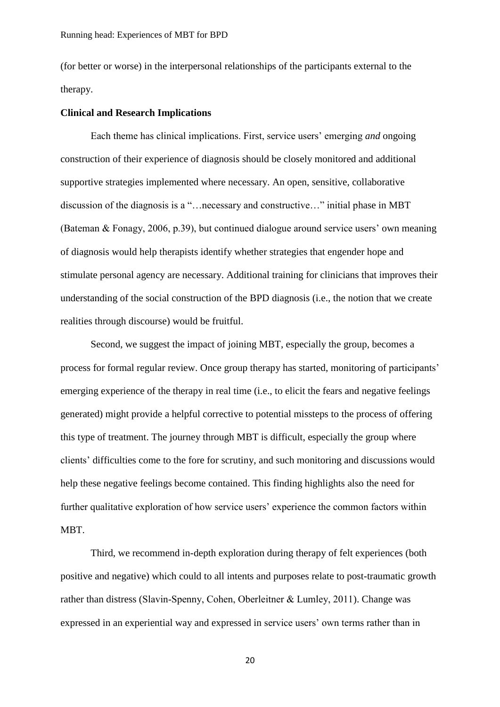(for better or worse) in the interpersonal relationships of the participants external to the therapy.

### **Clinical and Research Implications**

Each theme has clinical implications. First, service users' emerging *and* ongoing construction of their experience of diagnosis should be closely monitored and additional supportive strategies implemented where necessary. An open, sensitive, collaborative discussion of the diagnosis is a "…necessary and constructive…" initial phase in MBT (Bateman & Fonagy, 2006, p.39), but continued dialogue around service users' own meaning of diagnosis would help therapists identify whether strategies that engender hope and stimulate personal agency are necessary. Additional training for clinicians that improves their understanding of the social construction of the BPD diagnosis (i.e., the notion that we create realities through discourse) would be fruitful.

Second, we suggest the impact of joining MBT, especially the group, becomes a process for formal regular review. Once group therapy has started, monitoring of participants' emerging experience of the therapy in real time (i.e., to elicit the fears and negative feelings generated) might provide a helpful corrective to potential missteps to the process of offering this type of treatment. The journey through MBT is difficult, especially the group where clients' difficulties come to the fore for scrutiny, and such monitoring and discussions would help these negative feelings become contained. This finding highlights also the need for further qualitative exploration of how service users' experience the common factors within MBT.

Third, we recommend in-depth exploration during therapy of felt experiences (both positive and negative) which could to all intents and purposes relate to post-traumatic growth rather than distress (Slavin‐Spenny, Cohen, Oberleitner & Lumley, 2011). Change was expressed in an experiential way and expressed in service users' own terms rather than in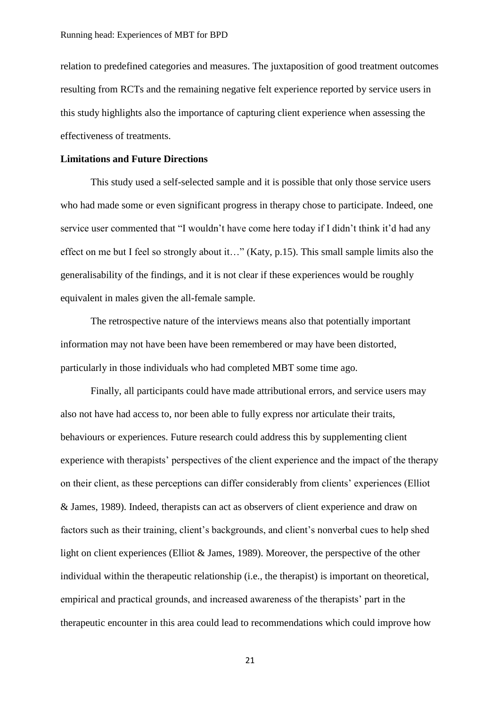relation to predefined categories and measures. The juxtaposition of good treatment outcomes resulting from RCTs and the remaining negative felt experience reported by service users in this study highlights also the importance of capturing client experience when assessing the effectiveness of treatments.

### **Limitations and Future Directions**

This study used a self-selected sample and it is possible that only those service users who had made some or even significant progress in therapy chose to participate. Indeed, one service user commented that "I wouldn't have come here today if I didn't think it'd had any effect on me but I feel so strongly about it…" (Katy, p.15). This small sample limits also the generalisability of the findings, and it is not clear if these experiences would be roughly equivalent in males given the all-female sample.

The retrospective nature of the interviews means also that potentially important information may not have been have been remembered or may have been distorted, particularly in those individuals who had completed MBT some time ago.

Finally, all participants could have made attributional errors, and service users may also not have had access to, nor been able to fully express nor articulate their traits, behaviours or experiences. Future research could address this by supplementing client experience with therapists' perspectives of the client experience and the impact of the therapy on their client, as these perceptions can differ considerably from clients' experiences (Elliot & James, 1989). Indeed, therapists can act as observers of client experience and draw on factors such as their training, client's backgrounds, and client's nonverbal cues to help shed light on client experiences (Elliot & James, 1989). Moreover, the perspective of the other individual within the therapeutic relationship (i.e., the therapist) is important on theoretical, empirical and practical grounds, and increased awareness of the therapists' part in the therapeutic encounter in this area could lead to recommendations which could improve how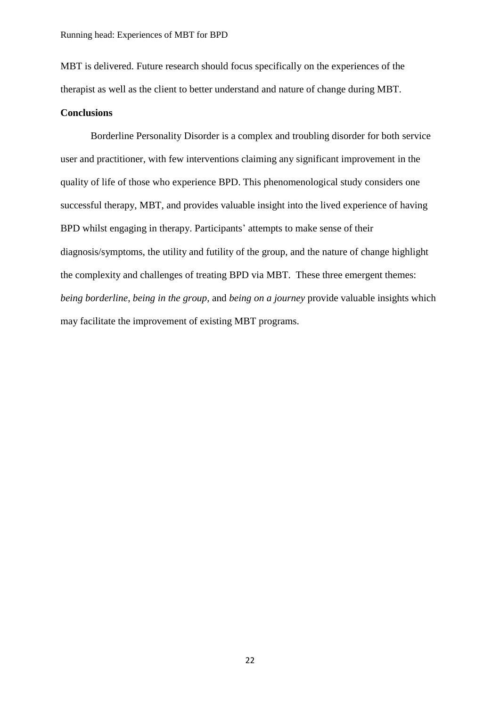MBT is delivered. Future research should focus specifically on the experiences of the therapist as well as the client to better understand and nature of change during MBT.

### **Conclusions**

Borderline Personality Disorder is a complex and troubling disorder for both service user and practitioner, with few interventions claiming any significant improvement in the quality of life of those who experience BPD. This phenomenological study considers one successful therapy, MBT, and provides valuable insight into the lived experience of having BPD whilst engaging in therapy. Participants' attempts to make sense of their diagnosis/symptoms, the utility and futility of the group, and the nature of change highlight the complexity and challenges of treating BPD via MBT. These three emergent themes: *being borderline, being in the group,* and *being on a journey* provide valuable insights which may facilitate the improvement of existing MBT programs.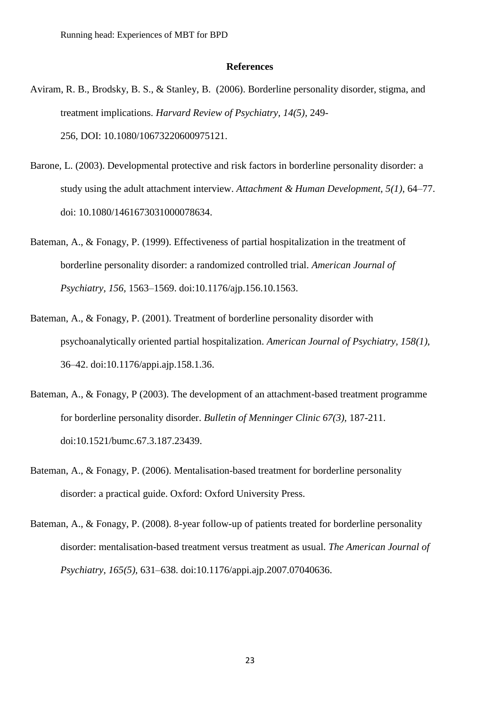### **References**

- Aviram, R. B., Brodsky, B. S., & Stanley, B. (2006). Borderline personality disorder, stigma, and treatment implications. *Harvard Review of Psychiatry, 14(5),* 249- 256, DOI: [10.1080/10673220600975121.](https://doi.org/10.1080/10673220600975121)
- Barone, L. (2003). Developmental protective and risk factors in borderline personality disorder: a study using the adult attachment interview. *Attachment & Human Development, 5(1)*, 64–77. doi: 10.1080/1461673031000078634.
- Bateman, A., & Fonagy, P. (1999). Effectiveness of partial hospitalization in the treatment of borderline personality disorder: a randomized controlled trial. *American Journal of Psychiatry, 156,* 1563–1569. [doi:10.1176/ajp.156.10.1563.](https://doi.org/10.1176/ajp.156.10.1563)
- Bateman, A., & Fonagy, P. (2001). Treatment of borderline personality disorder with psychoanalytically oriented partial hospitalization. *American Journal of Psychiatry, 158(1),* 36–42. doi:10.1176/appi.ajp.158.1.36.
- Bateman, A., & Fonagy, P (2003). The development of an attachment-based treatment programme for borderline personality disorder. *Bulletin of Menninger Clinic 67(3),* 187-211. doi[:10.1521/bumc.67.3.187.23439.](https://doi.org/10.1521/bumc.67.3.187.23439)
- Bateman, A., & Fonagy, P. (2006). Mentalisation-based treatment for borderline personality disorder: a practical guide. Oxford: Oxford University Press.
- Bateman, A., & Fonagy, P. (2008). 8-year follow-up of patients treated for borderline personality disorder: mentalisation-based treatment versus treatment as usual. *The American Journal of Psychiatry, 165(5),* 631–638. [doi:10.1176/appi.ajp.2007.07040636.](https://doi.org/10.1176/appi.ajp.2007.07040636)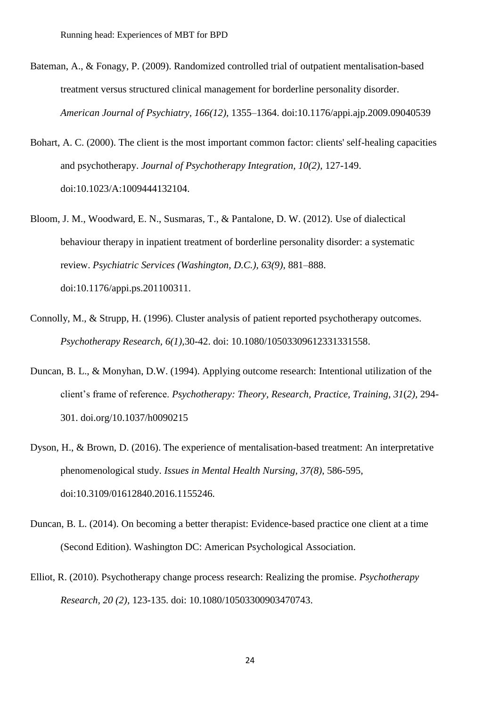- Bateman, A., & Fonagy, P. (2009). Randomized controlled trial of outpatient mentalisation-based treatment versus structured clinical management for borderline personality disorder. *American Journal of Psychiatry, 166(12),* 1355–1364. [doi:10.1176/appi.ajp.2009.09040539](https://doi.org/10.1176/appi.ajp.2009.09040539)
- Bohart, A. C. (2000). The client is the most important common factor: clients' self-healing capacities and psychotherapy. *Journal of Psychotherapy Integration, 10(2),* 127-149. doi:10.1023/A:1009444132104.
- Bloom, J. M., Woodward, E. N., Susmaras, T., & Pantalone, D. W. (2012). Use of dialectical behaviour therapy in inpatient treatment of borderline personality disorder: a systematic review. *Psychiatric Services (Washington, D.C.), 63(9),* 881–888. doi:10.1176/appi.ps.201100311.
- Connolly, M., & Strupp, H. (1996). Cluster analysis of patient reported psychotherapy outcomes. *Psychotherapy Research, 6(1),*30-42. doi: [10.1080/10503309612331331558.](https://doi.org/10.1080/10503309612331331558)
- Duncan, B. L., & Monyhan, D.W. (1994). Applying outcome research: Intentional utilization of the client's frame of reference. *Psychotherapy: Theory, Research, Practice, Training, 31*(*2),* 294- 301. [doi.org/10.1037/h0090215](http://psycnet.apa.org/doi/10.1037/h0090215)
- Dyson, H., & Brown, D. (2016). The experience of mentalisation-based treatment: An interpretative phenomenological study. *Issues in Mental Health Nursing, 37(8)*, 586-595, doi:10.3109/01612840.2016.1155246.
- Duncan, B. L. (2014). On becoming a better therapist: Evidence-based practice one client at a time (Second Edition). Washington DC: American Psychological Association.
- Elliot, R. (2010). Psychotherapy change process research: Realizing the promise. *Psychotherapy Research, 20 (2),* 123-135. doi: 10.1080/10503300903470743.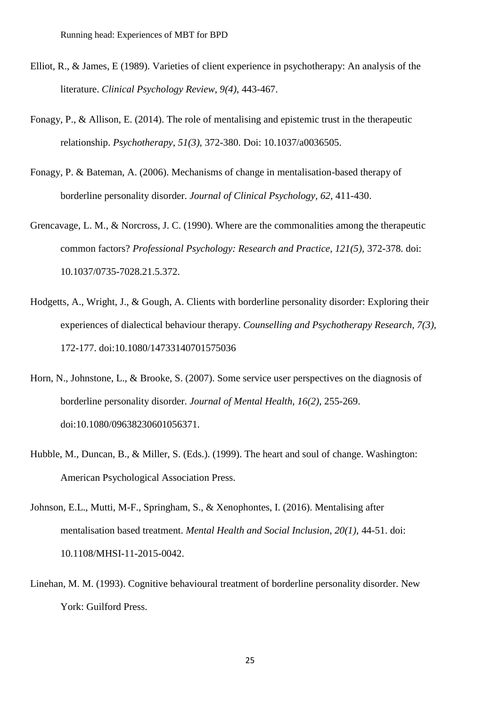- Elliot, R., & James, E (1989). Varieties of client experience in psychotherapy: An analysis of the literature. *Clinical Psychology Review, 9(4),* 443-467.
- Fonagy, P., & Allison, E. (2014). The role of mentalising and epistemic trust in the therapeutic relationship. *Psychotherapy, 51(3),* 372-380. Doi: 10.1037/a0036505.
- Fonagy, P. & Bateman, A. (2006). Mechanisms of change in mentalisation-based therapy of borderline personality disorder. *Journal of Clinical Psychology, 62*, 411-430.
- Grencavage, L. M., & Norcross, J. C. (1990). Where are the commonalities among the therapeutic common factors? *Professional Psychology: Research and Practice, 121(5),* 372-378. doi: 10.1037/0735-7028.21.5.372.
- Hodgetts, A., Wright, J., & Gough, A. Clients with borderline personality disorder: Exploring their experiences of dialectical behaviour therapy. *Counselling and Psychotherapy Research, 7(3),* 172-177. doi[:10.1080/14733140701575036](https://doi.org/10.1080/14733140701575036)
- Horn, N., Johnstone, L., & Brooke, S. (2007). Some service user perspectives on the diagnosis of borderline personality disorder. *Journal of Mental Health, 16(2)*, 255-269. [doi:10.1080/09638230601056371.](https://doi.org/10.1080/09638230601056371)
- Hubble, M., Duncan, B., & Miller, S. (Eds.). (1999). The heart and soul of change. Washington: American Psychological Association Press.
- Johnson, E.L., Mutti, M-F., Springham, S., & Xenophontes, I. (2016). Mentalising after mentalisation based treatment. *Mental Health and Social Inclusion, 20(1),* 44-51. doi: 10.1108/MHSI-11-2015-0042.
- Linehan, M. M. (1993). Cognitive behavioural treatment of borderline personality disorder. New York: Guilford Press.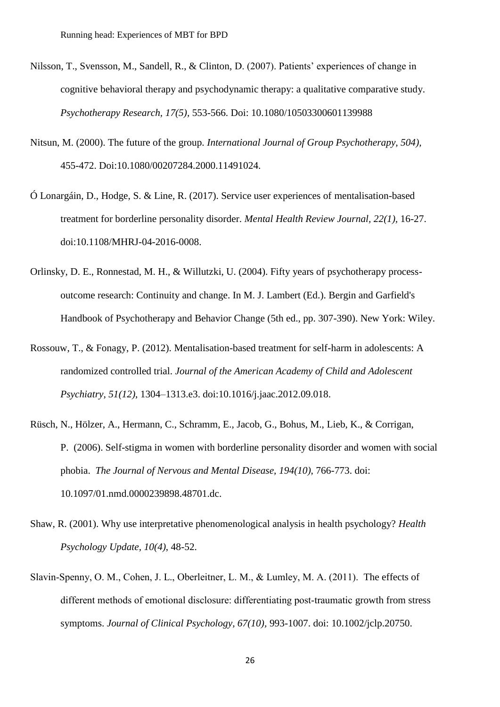- Nilsson, T., Svensson, M., Sandell, R., & Clinton, D. (2007). Patients' experiences of change in cognitive behavioral therapy and psychodynamic therapy: a qualitative comparative study. *Psychotherapy Research, 17(5),* 553-566. Doi: 10.1080/10503300601139988
- Nitsun, M. (2000). The future of the group. *International Journal of Group Psychotherapy, 504),* 455-472. Doi:10.1080/00207284.2000.11491024.
- Ó Lonargáin, D., Hodge, S. & Line, R. (2017). Service user experiences of mentalisation-based treatment for borderline personality disorder. *Mental Health Review Journal, 22(1),* 16-27. doi:10.1108/MHRJ-04-2016-0008.
- Orlinsky, D. E., Ronnestad, M. H., & Willutzki, U. (2004). Fifty years of psychotherapy processoutcome research: Continuity and change. In M. J. Lambert (Ed.). Bergin and Garfield's Handbook of Psychotherapy and Behavior Change (5th ed., pp. 307-390). New York: Wiley.
- Rossouw, T., & Fonagy, P. (2012). Mentalisation-based treatment for self-harm in adolescents: A randomized controlled trial. *Journal of the American Academy of Child and Adolescent Psychiatry, 51(12)*, 1304–1313.e3. [doi:10.1016/j.jaac.2012.09.018.](https://doi.org/10.1016/j.jaac.2012.09.018)
- Rüsch, N., Hölzer, A., Hermann, C., Schramm, E., Jacob, G., Bohus, M., Lieb, K., & Corrigan, P. (2006). Self-stigma in women with borderline personality disorder and women with social phobia. *The Journal of Nervous and Mental Disease, 194(10)*[, 766-773.](https://journals.lww.com/jonmd/toc/2006/10000) doi: 10.1097/01.nmd.0000239898.48701.dc.
- Shaw, R. (2001). Why use interpretative phenomenological analysis in health psychology? *Health Psychology Update, 10(4)*, 48-52.
- Slavin‐Spenny, O. M., Cohen, J. L., Oberleitner, L. M., & Lumley, M. A. (2011). [The effects of](https://librarysearch.uclan.ac.uk/discovery/fulldisplay?docid=wj10.1002/jclp.20750&context=PC&vid=44UOCL_INST:44UOCL_V1&lang=en&search_scope=MyInst_and_CI&adaptor=Primo%20Central&tab=Everything&query=any,contains,post%20traumatic%20growth&sortby=rank&offset=0)  different methods of emotional disclosure: differentiating post-traumatic growth from stress symptoms. *[Journal of Clinical Psychology, 67\(10\),](https://librarysearch.uclan.ac.uk/discovery/fulldisplay?docid=wj10.1002/jclp.20750&context=PC&vid=44UOCL_INST:44UOCL_V1&lang=en&search_scope=MyInst_and_CI&adaptor=Primo%20Central&tab=Everything&query=any,contains,post%20traumatic%20growth&sortby=rank&offset=0)* 993-1007. doi: 10.1002/jclp.20750.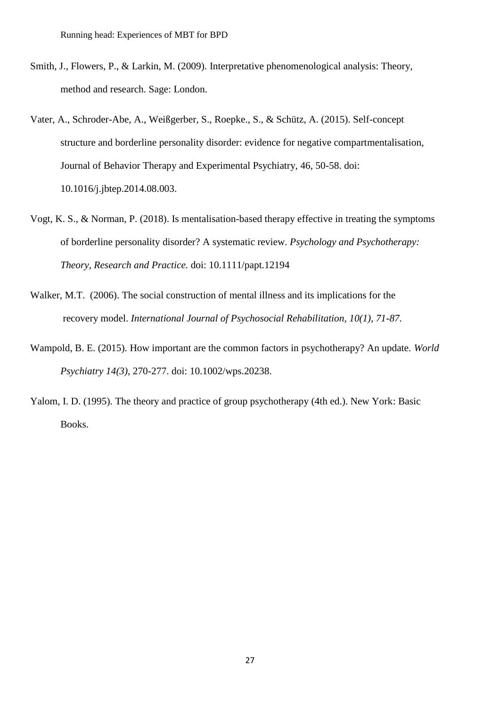- Smith, J., Flowers, P., & Larkin, M. (2009). Interpretative phenomenological analysis: Theory, method and research. Sage: London.
- Vater, A., Schroder-Abe, A., Weißgerber, S., Roepke., S., & Schütz, A. (2015). Self-concept structure and borderline personality disorder: evidence for negative compartmentalisation, Journal of Behavior Therapy and Experimental Psychiatry, 46, 50-58. doi: 10.1016/j.jbtep.2014.08.003.
- Vogt, K. S., & Norman, P. (2018). Is mentalisation-based therapy effective in treating the symptoms of borderline personality disorder? A systematic review. *Psychology and Psychotherapy: Theory, Research and Practice.* doi: 10.1111/papt.12194
- Walker, M.T. (2006). The social construction of mental illness and its implications for the recovery model. *International Journal of Psychosocial Rehabilitation, 10(1), 71-87.*
- Wampold, B. E. (2015). How important are the common factors in psychotherapy? An update. *World Psychiatry 14(3),* 270-277. doi: 10.1002/wps.20238.
- Yalom, I. D. (1995). The theory and practice of group psychotherapy (4th ed.). New York: Basic Books.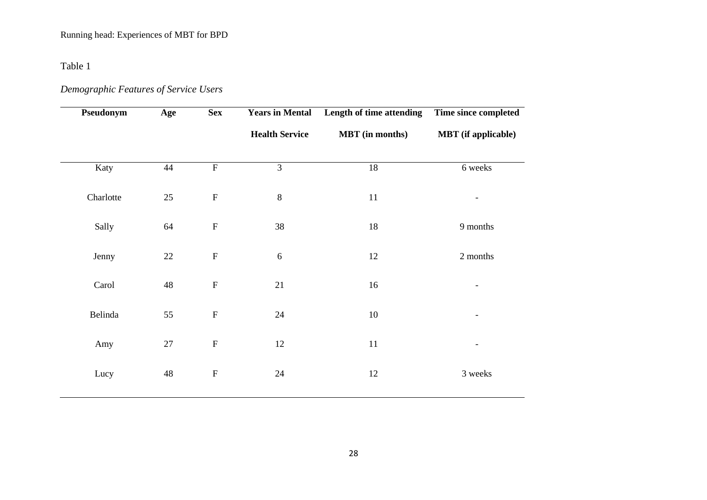Table 1

# *Demographic Features of Service Users*

| Pseudonym | Age         | <b>Sex</b>                | <b>Years in Mental</b> | Length of time attending | Time since completed       |
|-----------|-------------|---------------------------|------------------------|--------------------------|----------------------------|
|           |             |                           | <b>Health Service</b>  | <b>MBT</b> (in months)   | <b>MBT</b> (if applicable) |
|           |             |                           |                        |                          |                            |
| Katy      | 44          | $\overline{F}$            | $\overline{3}$         | $18\,$                   | 6 weeks                    |
| Charlotte | 25          | ${\bf F}$                 | $8\,$                  | $11\,$                   |                            |
| Sally     | 64          | ${\bf F}$                 | 38                     | $18\,$                   | 9 months                   |
| Jenny     | 22          | $\boldsymbol{\mathrm{F}}$ | 6                      | 12                       | 2 months                   |
| Carol     | $\sqrt{48}$ | ${\bf F}$                 | 21                     | 16                       |                            |
| Belinda   | 55          | ${\bf F}$                 | 24                     | $10\,$                   | $\overline{\phantom{a}}$   |
| Amy       | $27\,$      | ${\bf F}$                 | 12                     | $11\,$                   |                            |
| Lucy      | 48          | ${\bf F}$                 | 24                     | 12                       | 3 weeks                    |
|           |             |                           |                        |                          |                            |